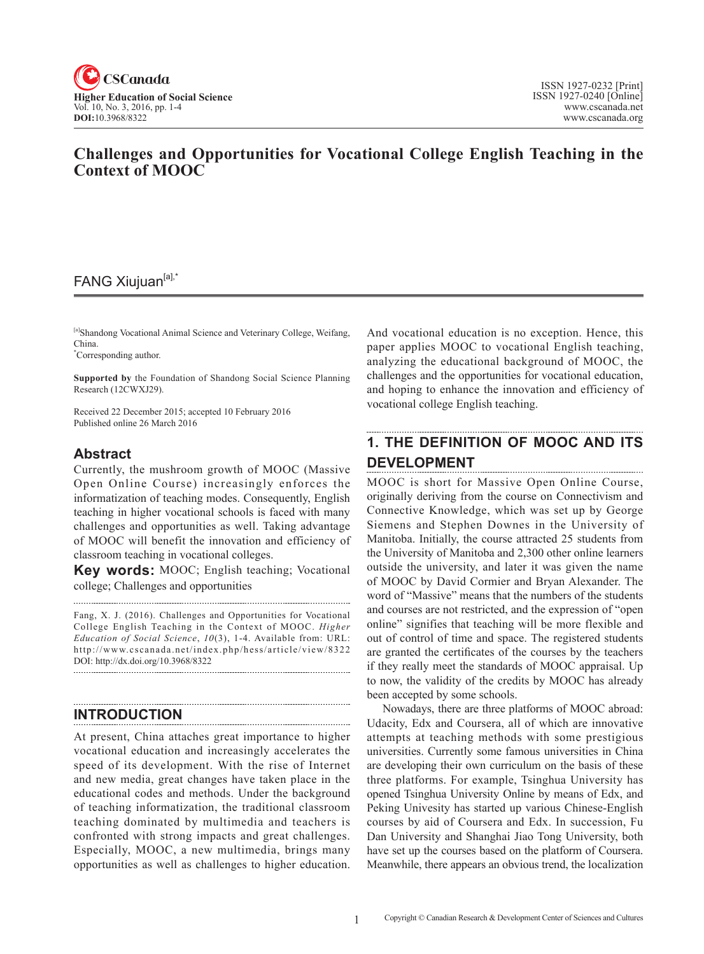

## **Challenges and Opportunities for Vocational College English Teaching in the Context of MOOC**

# FANG Xiujuan<sup>[a],\*</sup>

[a]Shandong Vocational Animal Science and Veterinary College, Weifang, China.

\* Corresponding author.

**Supported by** the Foundation of Shandong Social Science Planning Research (12CWXJ29).

Received 22 December 2015; accepted 10 February 2016 Published online 26 March 2016

## **Abstract**

Currently, the mushroom growth of MOOC (Massive Open Online Course) increasingly enforces the informatization of teaching modes. Consequently, English teaching in higher vocational schools is faced with many challenges and opportunities as well. Taking advantage of MOOC will benefit the innovation and efficiency of classroom teaching in vocational colleges.

**Key words:** MOOC; English teaching; Vocational college; Challenges and opportunities

Fang, X. J. (2016). Challenges and Opportunities for Vocational College English Teaching in the Context of MOOC. *Higher Education of Social Science*, 10(3), 1-4. Available from: URL: http://www.cscanada.net/index.php/hess/article/view/8322

DOI: http://dx.doi.org/10.3968/8322 

#### **INTRODUCTION**

At present, China attaches great importance to higher vocational education and increasingly accelerates the speed of its development. With the rise of Internet and new media, great changes have taken place in the educational codes and methods. Under the background of teaching informatization, the traditional classroom teaching dominated by multimedia and teachers is confronted with strong impacts and great challenges. Especially, MOOC, a new multimedia, brings many opportunities as well as challenges to higher education.

And vocational education is no exception. Hence, this paper applies MOOC to vocational English teaching, analyzing the educational background of MOOC, the challenges and the opportunities for vocational education, and hoping to enhance the innovation and efficiency of vocational college English teaching.

# **1. THE DEFINITION OF MOOC AND ITS DEVELOPMENT**

MOOC is short for Massive Open Online Course, originally deriving from the course on Connectivism and Connective Knowledge, which was set up by George Siemens and Stephen Downes in the University of Manitoba. Initially, the course attracted 25 students from the University of Manitoba and 2,300 other online learners outside the university, and later it was given the name of MOOC by David Cormier and Bryan Alexander. The word of "Massive" means that the numbers of the students and courses are not restricted, and the expression of "open online" signifies that teaching will be more flexible and out of control of time and space. The registered students are granted the certificates of the courses by the teachers if they really meet the standards of MOOC appraisal. Up to now, the validity of the credits by MOOC has already been accepted by some schools.

Nowadays, there are three platforms of MOOC abroad: Udacity, Edx and Coursera, all of which are innovative attempts at teaching methods with some prestigious universities. Currently some famous universities in China are developing their own curriculum on the basis of these three platforms. For example, Tsinghua University has opened Tsinghua University Online by means of Edx, and Peking Univesity has started up various Chinese-English courses by aid of Coursera and Edx. In succession, Fu Dan University and Shanghai Jiao Tong University, both have set up the courses based on the platform of Coursera. Meanwhile, there appears an obvious trend, the localization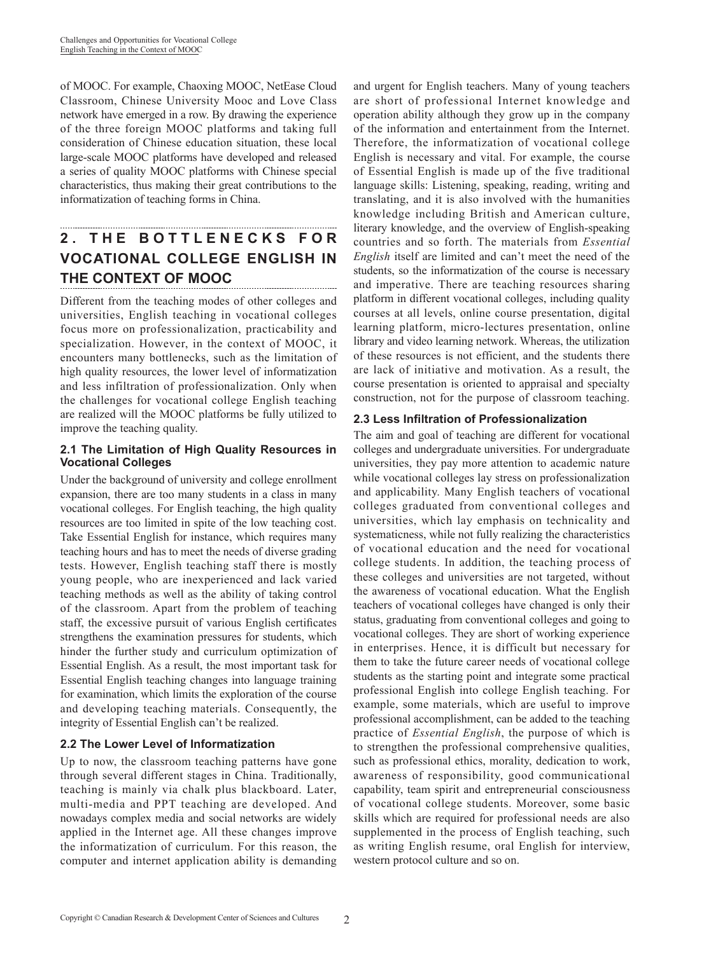of MOOC. For example, Chaoxing MOOC, NetEase Cloud Classroom, Chinese University Mooc and Love Class network have emerged in a row. By drawing the experience of the three foreign MOOC platforms and taking full consideration of Chinese education situation, these local large-scale MOOC platforms have developed and released a series of quality MOOC platforms with Chinese special characteristics, thus making their great contributions to the informatization of teaching forms in China.

# **2 . T H E B O T T L E N E C K S F O R VOCATIONAL COLLEGE ENGLISH IN THE CONTEXT OF MOOC**

Different from the teaching modes of other colleges and universities, English teaching in vocational colleges focus more on professionalization, practicability and specialization. However, in the context of MOOC, it encounters many bottlenecks, such as the limitation of high quality resources, the lower level of informatization and less infiltration of professionalization. Only when the challenges for vocational college English teaching are realized will the MOOC platforms be fully utilized to improve the teaching quality.

#### **2.1 The Limitation of High Quality Resources in Vocational Colleges**

Under the background of university and college enrollment expansion, there are too many students in a class in many vocational colleges. For English teaching, the high quality resources are too limited in spite of the low teaching cost. Take Essential English for instance, which requires many teaching hours and has to meet the needs of diverse grading tests. However, English teaching staff there is mostly young people, who are inexperienced and lack varied teaching methods as well as the ability of taking control of the classroom. Apart from the problem of teaching staff, the excessive pursuit of various English certificates strengthens the examination pressures for students, which hinder the further study and curriculum optimization of Essential English. As a result, the most important task for Essential English teaching changes into language training for examination, which limits the exploration of the course and developing teaching materials. Consequently, the integrity of Essential English can't be realized.

#### **2.2 The Lower Level of Informatization**

Up to now, the classroom teaching patterns have gone through several different stages in China. Traditionally, teaching is mainly via chalk plus blackboard. Later, multi-media and PPT teaching are developed. And nowadays complex media and social networks are widely applied in the Internet age. All these changes improve the informatization of curriculum. For this reason, the computer and internet application ability is demanding and urgent for English teachers. Many of young teachers are short of professional Internet knowledge and operation ability although they grow up in the company of the information and entertainment from the Internet. Therefore, the informatization of vocational college English is necessary and vital. For example, the course of Essential English is made up of the five traditional language skills: Listening, speaking, reading, writing and translating, and it is also involved with the humanities knowledge including British and American culture, literary knowledge, and the overview of English-speaking countries and so forth. The materials from *Essential English* itself are limited and can't meet the need of the students, so the informatization of the course is necessary and imperative. There are teaching resources sharing platform in different vocational colleges, including quality courses at all levels, online course presentation, digital learning platform, micro-lectures presentation, online library and video learning network. Whereas, the utilization of these resources is not efficient, and the students there are lack of initiative and motivation. As a result, the course presentation is oriented to appraisal and specialty construction, not for the purpose of classroom teaching.

#### **2.3 Less Infiltration of Professionalization**

The aim and goal of teaching are different for vocational colleges and undergraduate universities. For undergraduate universities, they pay more attention to academic nature while vocational colleges lay stress on professionalization and applicability. Many English teachers of vocational colleges graduated from conventional colleges and universities, which lay emphasis on technicality and systematicness, while not fully realizing the characteristics of vocational education and the need for vocational college students. In addition, the teaching process of these colleges and universities are not targeted, without the awareness of vocational education. What the English teachers of vocational colleges have changed is only their status, graduating from conventional colleges and going to vocational colleges. They are short of working experience in enterprises. Hence, it is difficult but necessary for them to take the future career needs of vocational college students as the starting point and integrate some practical professional English into college English teaching. For example, some materials, which are useful to improve professional accomplishment, can be added to the teaching practice of *Essential English*, the purpose of which is to strengthen the professional comprehensive qualities, such as professional ethics, morality, dedication to work, awareness of responsibility, good communicational capability, team spirit and entrepreneurial consciousness of vocational college students. Moreover, some basic skills which are required for professional needs are also supplemented in the process of English teaching, such as writing English resume, oral English for interview, western protocol culture and so on.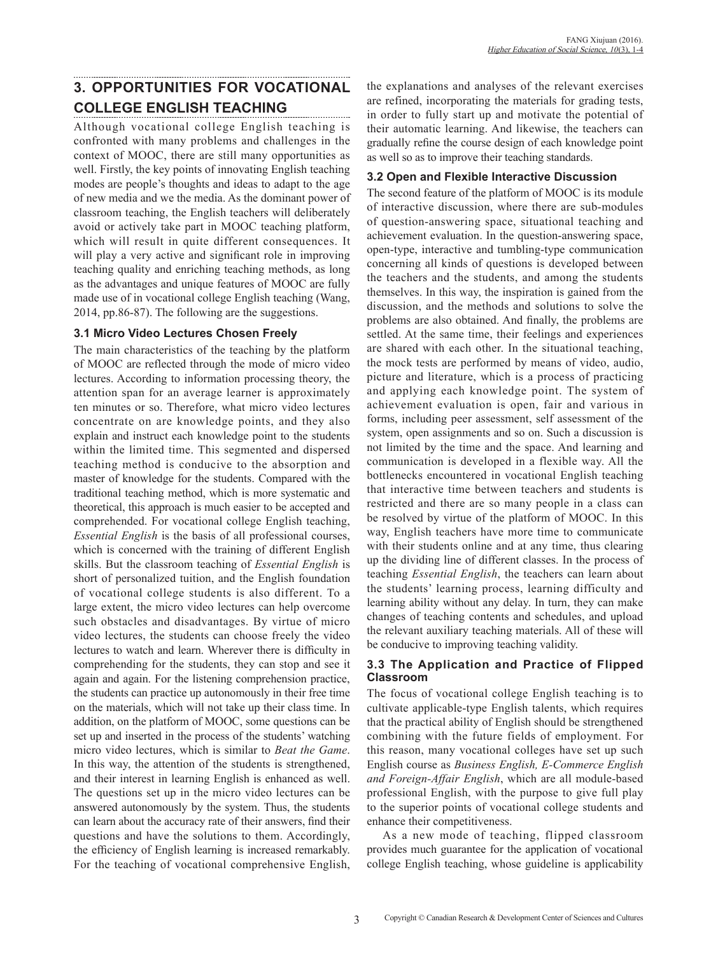# **3. OPPORTUNITIES FOR VOCATIONAL COLLEGE ENGLISH TEACHING**

Although vocational college English teaching is confronted with many problems and challenges in the context of MOOC, there are still many opportunities as well. Firstly, the key points of innovating English teaching modes are people's thoughts and ideas to adapt to the age of new media and we the media. As the dominant power of classroom teaching, the English teachers will deliberately avoid or actively take part in MOOC teaching platform, which will result in quite different consequences. It will play a very active and significant role in improving teaching quality and enriching teaching methods, as long as the advantages and unique features of MOOC are fully made use of in vocational college English teaching (Wang, 2014, pp.86-87). The following are the suggestions.

#### **3.1 Micro Video Lectures Chosen Freely**

The main characteristics of the teaching by the platform of MOOC are reflected through the mode of micro video lectures. According to information processing theory, the attention span for an average learner is approximately ten minutes or so. Therefore, what micro video lectures concentrate on are knowledge points, and they also explain and instruct each knowledge point to the students within the limited time. This segmented and dispersed teaching method is conducive to the absorption and master of knowledge for the students. Compared with the traditional teaching method, which is more systematic and theoretical, this approach is much easier to be accepted and comprehended. For vocational college English teaching, *Essential English* is the basis of all professional courses, which is concerned with the training of different English skills. But the classroom teaching of *Essential English* is short of personalized tuition, and the English foundation of vocational college students is also different. To a large extent, the micro video lectures can help overcome such obstacles and disadvantages. By virtue of micro video lectures, the students can choose freely the video lectures to watch and learn. Wherever there is difficulty in comprehending for the students, they can stop and see it again and again. For the listening comprehension practice, the students can practice up autonomously in their free time on the materials, which will not take up their class time. In addition, on the platform of MOOC, some questions can be set up and inserted in the process of the students' watching micro video lectures, which is similar to *Beat the Game*. In this way, the attention of the students is strengthened, and their interest in learning English is enhanced as well. The questions set up in the micro video lectures can be answered autonomously by the system. Thus, the students can learn about the accuracy rate of their answers, find their questions and have the solutions to them. Accordingly, the efficiency of English learning is increased remarkably. For the teaching of vocational comprehensive English, the explanations and analyses of the relevant exercises are refined, incorporating the materials for grading tests, in order to fully start up and motivate the potential of their automatic learning. And likewise, the teachers can gradually refine the course design of each knowledge point as well so as to improve their teaching standards.

#### **3.2 Open and Flexible Interactive Discussion**

The second feature of the platform of MOOC is its module of interactive discussion, where there are sub-modules of question-answering space, situational teaching and achievement evaluation. In the question-answering space, open-type, interactive and tumbling-type communication concerning all kinds of questions is developed between the teachers and the students, and among the students themselves. In this way, the inspiration is gained from the discussion, and the methods and solutions to solve the problems are also obtained. And finally, the problems are settled. At the same time, their feelings and experiences are shared with each other. In the situational teaching, the mock tests are performed by means of video, audio, picture and literature, which is a process of practicing and applying each knowledge point. The system of achievement evaluation is open, fair and various in forms, including peer assessment, self assessment of the system, open assignments and so on. Such a discussion is not limited by the time and the space. And learning and communication is developed in a flexible way. All the bottlenecks encountered in vocational English teaching that interactive time between teachers and students is restricted and there are so many people in a class can be resolved by virtue of the platform of MOOC. In this way, English teachers have more time to communicate with their students online and at any time, thus clearing up the dividing line of different classes. In the process of teaching *Essential English*, the teachers can learn about the students' learning process, learning difficulty and learning ability without any delay. In turn, they can make changes of teaching contents and schedules, and upload the relevant auxiliary teaching materials. All of these will be conducive to improving teaching validity.

#### **3.3 The Application and Practice of Flipped Classroom**

The focus of vocational college English teaching is to cultivate applicable-type English talents, which requires that the practical ability of English should be strengthened combining with the future fields of employment. For this reason, many vocational colleges have set up such English course as *Business English, E-Commerce English and Foreign-Affair English*, which are all module-based professional English, with the purpose to give full play to the superior points of vocational college students and enhance their competitiveness.

As a new mode of teaching, flipped classroom provides much guarantee for the application of vocational college English teaching, whose guideline is applicability